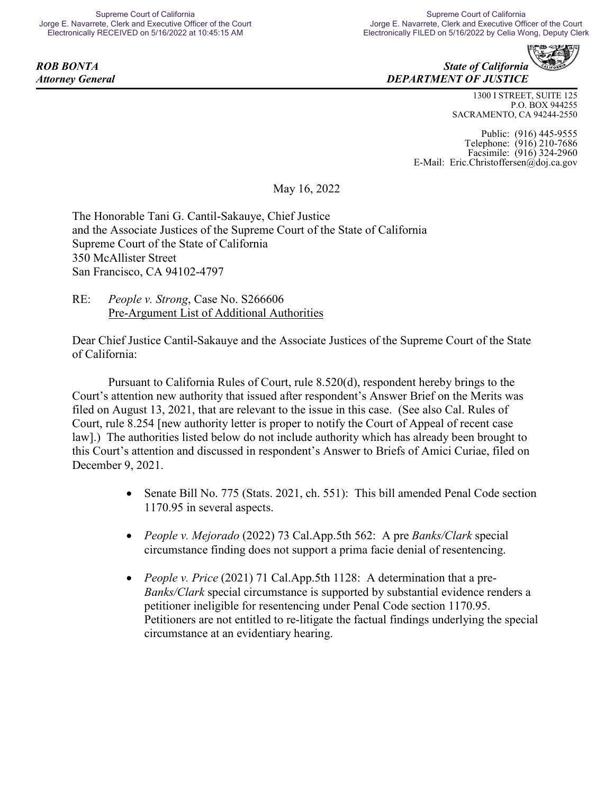

1300 I STREET, SUITE 125 P.O. BOX 944255 SACRAMENTO, CA 94244-2550

Public: (916) 445-9555 Telephone: (916) 210-7686 Facsimile: (916) 324-2960 E-Mail: Eric.Christoffersen@doj.ca.gov

May 16, 2022

The Honorable Tani G. Cantil-Sakauye, Chief Justice and the Associate Justices of the Supreme Court of the State of California Supreme Court of the State of California 350 McAllister Street San Francisco, CA 94102-4797

RE: *People v. Strong*, Case No. S266606 Pre-Argument List of Additional Authorities

Dear Chief Justice Cantil-Sakauye and the Associate Justices of the Supreme Court of the State of California:

Pursuant to California Rules of Court, rule 8.520(d), respondent hereby brings to the Court's attention new authority that issued after respondent's Answer Brief on the Merits was filed on August 13, 2021, that are relevant to the issue in this case. (See also Cal. Rules of Court, rule 8.254 [new authority letter is proper to notify the Court of Appeal of recent case law].) The authorities listed below do not include authority which has already been brought to this Court's attention and discussed in respondent's Answer to Briefs of Amici Curiae, filed on December 9, 2021.

- Senate Bill No. 775 (Stats. 2021, ch. 551): This bill amended Penal Code section 1170.95 in several aspects.
- *People v. Mejorado* (2022) 73 Cal.App.5th 562: A pre *Banks/Clark* special circumstance finding does not support a prima facie denial of resentencing.
- *People v. Price* (2021) 71 Cal.App.5th 1128: A determination that a pre-*Banks/Clark* special circumstance is supported by substantial evidence renders a petitioner ineligible for resentencing under Penal Code section 1170.95. Petitioners are not entitled to re-litigate the factual findings underlying the special circumstance at an evidentiary hearing.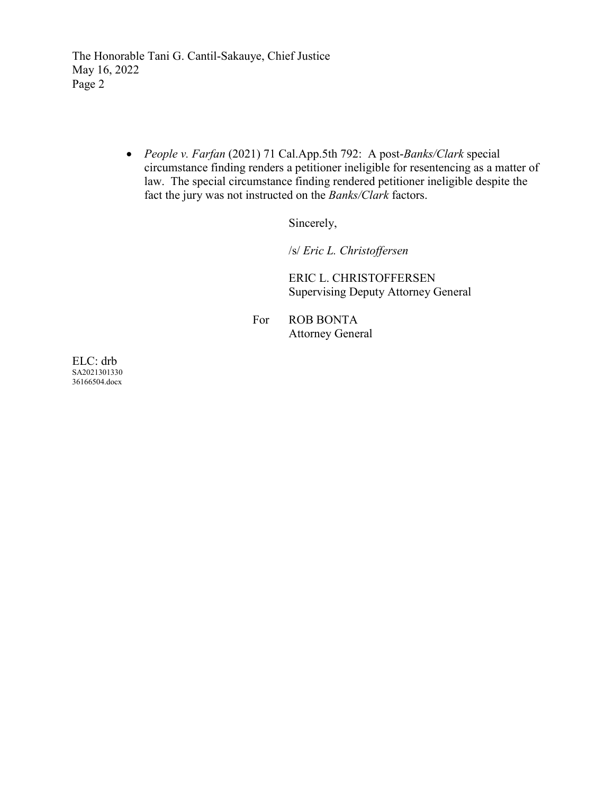The Honorable Tani G. Cantil-Sakauye, Chief Justice May 16, 2022 Page 2

> • *People v. Farfan* (2021) 71 Cal.App.5th 792: A post-*Banks/Clark* special circumstance finding renders a petitioner ineligible for resentencing as a matter of law. The special circumstance finding rendered petitioner ineligible despite the fact the jury was not instructed on the *Banks/Clark* factors.

> > Sincerely,

/s/ *Eric L. Christoffersen*

ERIC L. CHRISTOFFERSEN Supervising Deputy Attorney General

For ROB BONTA Attorney General

ELC: drb SA2021301330 36166504.docx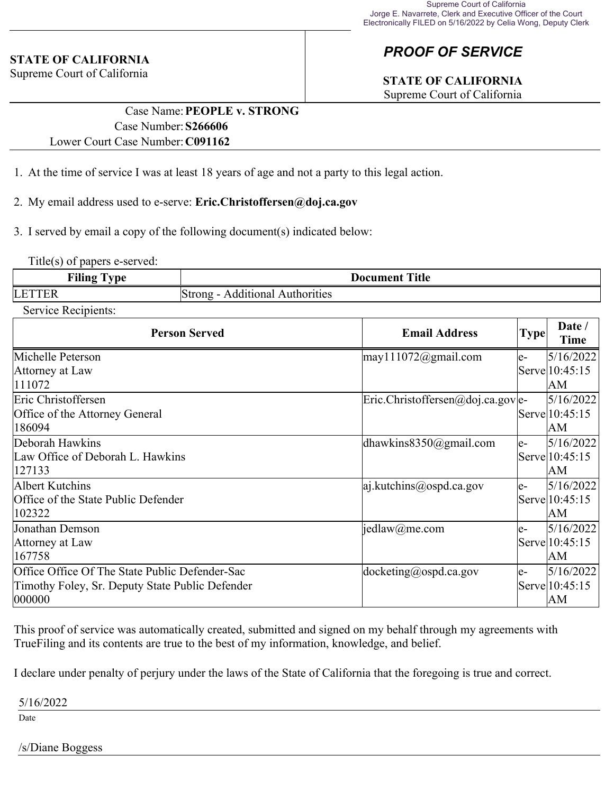### **STATE OF CALIFORNIA**

Supreme Court of California

# *PROOF OF SERVICE*

# **STATE OF CALIFORNIA**

Supreme Court of California

### Case Name:**PEOPLE v. STRONG** Case Number:**S266606** Lower Court Case Number:**C091162**

- 1. At the time of service I was at least 18 years of age and not a party to this legal action.
- 2. My email address used to e-serve: **Eric.Christoffersen@doj.ca.gov**
- 3. I served by email a copy of the following document(s) indicated below:

Title(s) of papers e-served:

| $\blacksquare$<br>†ılın | Title<br>: Ioeument                  |
|-------------------------|--------------------------------------|
| ப                       | tıona<br>10r1t1es<br>nno<br>$\alpha$ |

#### Service Recipients:

| <b>Person Served</b>                            | <b>Email Address</b>                | <b>Type</b> | Date /<br>Time |
|-------------------------------------------------|-------------------------------------|-------------|----------------|
| Michelle Peterson                               | $\text{may}$ 111072@gmail.com       | le-         | 5/16/2022      |
| Attorney at Law                                 |                                     |             | Serve 10:45:15 |
| 111072                                          |                                     |             | lАM            |
| Eric Christoffersen                             | $Eric.Christoffersen@doj.ca.gov e-$ |             | 5/16/2022      |
| Office of the Attorney General                  |                                     |             | Serve 10:45:15 |
| 186094                                          |                                     |             | AM             |
| Deborah Hawkins                                 | dhawkins $8350$ @gmail.com          | le-         | 5/16/2022      |
| Law Office of Deborah L. Hawkins                |                                     |             | Serve 10:45:15 |
| 127133                                          |                                     |             | lАM            |
| Albert Kutchins                                 | $ a $ .kutchins@ospd.ca.gov         | le-         | 5/16/2022      |
| Office of the State Public Defender             |                                     |             | Serve 10:45:15 |
| 102322                                          |                                     |             | AΜ             |
| Jonathan Demson                                 | jedlaw@me.com                       | le-         | 5/16/2022      |
| Attorney at Law                                 |                                     |             | Serve 10:45:15 |
| 167758                                          |                                     |             | lАM            |
| Office Office Of The State Public Defender-Sac  | $ docketing(\omega)$ ospd.ca.gov    | le-         | 5/16/2022      |
| Timothy Foley, Sr. Deputy State Public Defender |                                     |             | Serve 10:45:15 |
| 000000                                          |                                     |             | lΑM            |

This proof of service was automatically created, submitted and signed on my behalf through my agreements with TrueFiling and its contents are true to the best of my information, knowledge, and belief.

I declare under penalty of perjury under the laws of the State of California that the foregoing is true and correct.

#### 5/16/2022

Date

#### /s/Diane Boggess